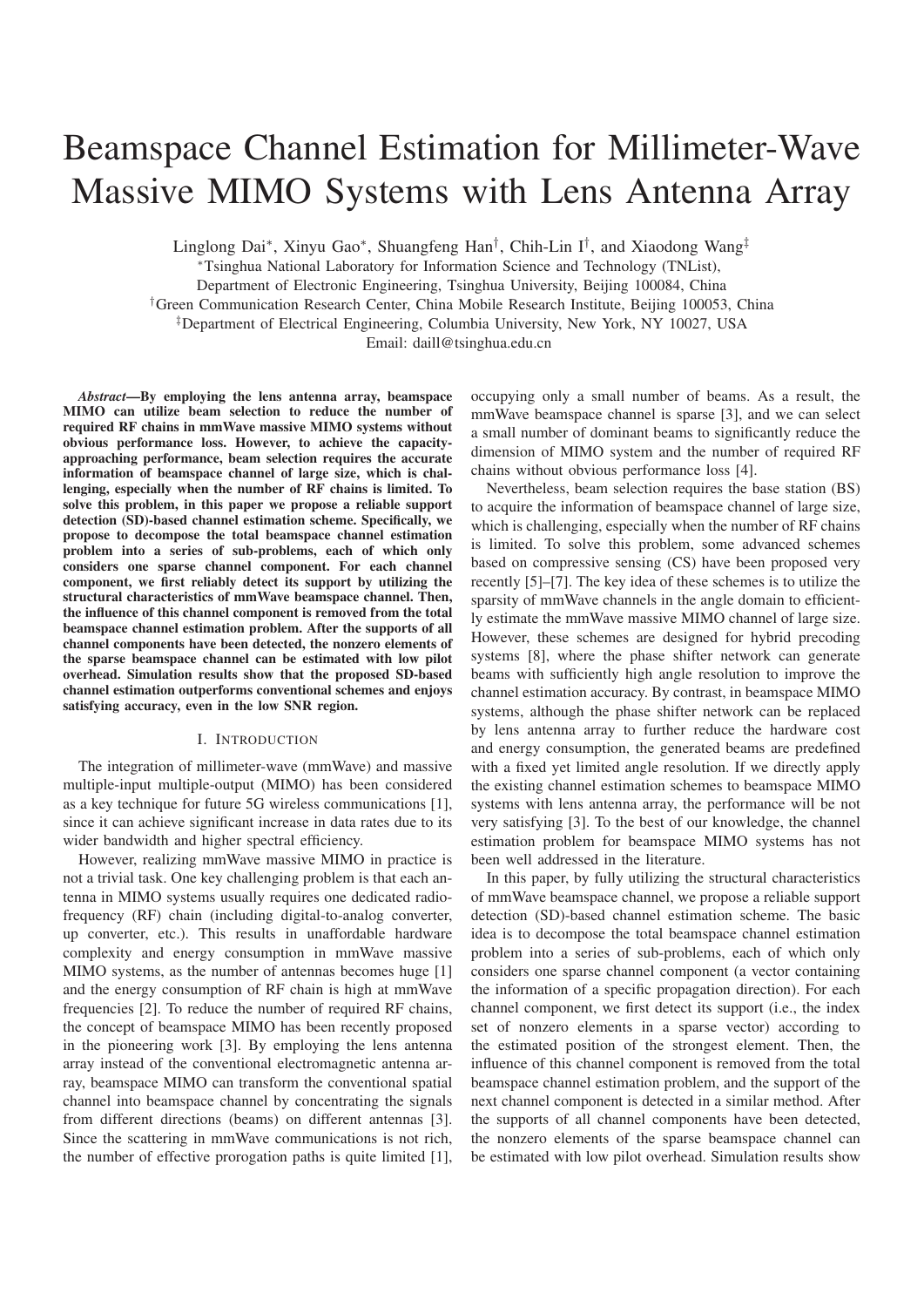# Beamspace Channel Estimation for Millimeter-Wave Massive MIMO Systems with Lens Antenna Array

Linglong Dai∗, Xinyu Gao∗, Shuangfeng Han†, Chih-Lin I†, and Xiaodong Wang‡

<sup>∗</sup>Tsinghua National Laboratory for Information Science and Technology (TNList),

Department of Electronic Engineering, Tsinghua University, Beijing 100084, China

†Green Communication Research Center, China Mobile Research Institute, Beijing 100053, China

‡Department of Electrical Engineering, Columbia University, New York, NY 10027, USA

Email: daill@tsinghua.edu.cn

*Abstract*—By employing the lens antenna array, beamspace MIMO can utilize beam selection to reduce the number of required RF chains in mmWave massive MIMO systems without obvious performance loss. However, to achieve the capacityapproaching performance, beam selection requires the accurate information of beamspace channel of large size, which is challenging, especially when the number of RF chains is limited. To solve this problem, in this paper we propose a reliable support detection (SD)-based channel estimation scheme. Specifically, we propose to decompose the total beamspace channel estimation problem into a series of sub-problems, each of which only considers one sparse channel component. For each channel component, we first reliably detect its support by utilizing the structural characteristics of mmWave beamspace channel. Then, the influence of this channel component is removed from the total beamspace channel estimation problem. After the supports of all channel components have been detected, the nonzero elements of the sparse beamspace channel can be estimated with low pilot overhead. Simulation results show that the proposed SD-based channel estimation outperforms conventional schemes and enjoys satisfying accuracy, even in the low SNR region.

## I. INTRODUCTION

The integration of millimeter-wave (mmWave) and massive multiple-input multiple-output (MIMO) has been considered as a key technique for future 5G wireless communications [1], since it can achieve significant increase in data rates due to its wider bandwidth and higher spectral efficiency.

However, realizing mmWave massive MIMO in practice is not a trivial task. One key challenging problem is that each antenna in MIMO systems usually requires one dedicated radiofrequency (RF) chain (including digital-to-analog converter, up converter, etc.). This results in unaffordable hardware complexity and energy consumption in mmWave massive MIMO systems, as the number of antennas becomes huge [1] and the energy consumption of RF chain is high at mmWave frequencies [2]. To reduce the number of required RF chains, the concept of beamspace MIMO has been recently proposed in the pioneering work [3]. By employing the lens antenna array instead of the conventional electromagnetic antenna array, beamspace MIMO can transform the conventional spatial channel into beamspace channel by concentrating the signals from different directions (beams) on different antennas [3]. Since the scattering in mmWave communications is not rich, the number of effective prorogation paths is quite limited [1], occupying only a small number of beams. As a result, the mmWave beamspace channel is sparse [3], and we can select a small number of dominant beams to significantly reduce the dimension of MIMO system and the number of required RF chains without obvious performance loss [4].

Nevertheless, beam selection requires the base station (BS) to acquire the information of beamspace channel of large size, which is challenging, especially when the number of RF chains is limited. To solve this problem, some advanced schemes based on compressive sensing (CS) have been proposed very recently [5]–[7]. The key idea of these schemes is to utilize the sparsity of mmWave channels in the angle domain to efficiently estimate the mmWave massive MIMO channel of large size. However, these schemes are designed for hybrid precoding systems [8], where the phase shifter network can generate beams with sufficiently high angle resolution to improve the channel estimation accuracy. By contrast, in beamspace MIMO systems, although the phase shifter network can be replaced by lens antenna array to further reduce the hardware cost and energy consumption, the generated beams are predefined with a fixed yet limited angle resolution. If we directly apply the existing channel estimation schemes to beamspace MIMO systems with lens antenna array, the performance will be not very satisfying [3]. To the best of our knowledge, the channel estimation problem for beamspace MIMO systems has not been well addressed in the literature.

In this paper, by fully utilizing the structural characteristics of mmWave beamspace channel, we propose a reliable support detection (SD)-based channel estimation scheme. The basic idea is to decompose the total beamspace channel estimation problem into a series of sub-problems, each of which only considers one sparse channel component (a vector containing the information of a specific propagation direction). For each channel component, we first detect its support (i.e., the index set of nonzero elements in a sparse vector) according to the estimated position of the strongest element. Then, the influence of this channel component is removed from the total beamspace channel estimation problem, and the support of the next channel component is detected in a similar method. After the supports of all channel components have been detected, the nonzero elements of the sparse beamspace channel can be estimated with low pilot overhead. Simulation results show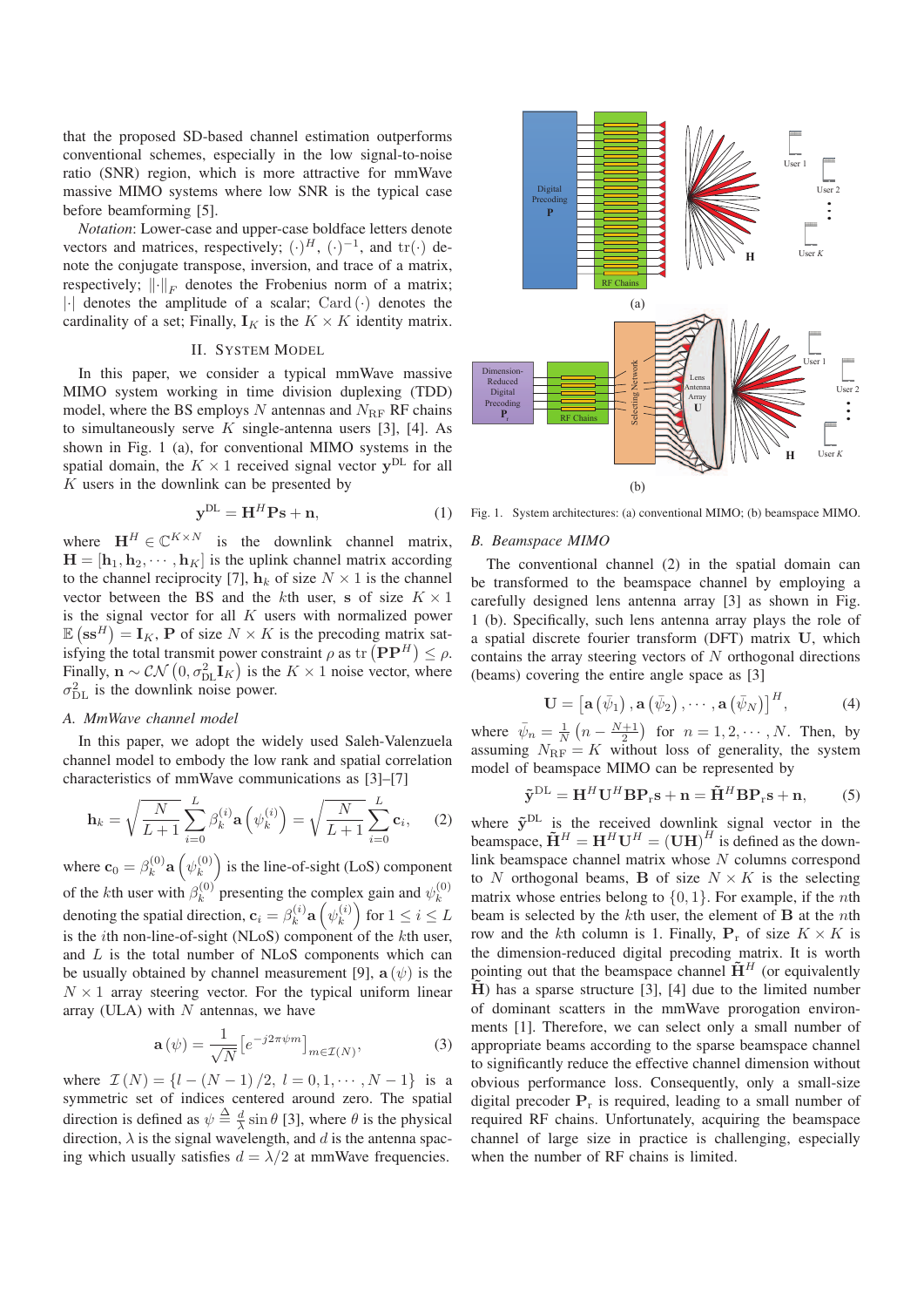that the proposed SD-based channel estimation outperforms conventional schemes, especially in the low signal-to-noise ratio (SNR) region, which is more attractive for mmWave massive MIMO systems where low SNR is the typical case before beamforming [5].

*Notation*: Lower-case and upper-case boldface letters denote vectors and matrices, respectively;  $(\cdot)^H$ ,  $(\cdot)^{-1}$ , and tr $(\cdot)$  denote the conjugate transpose, inversion, and trace of a matrix, respectively;  $\|\cdot\|_F$  denotes the Frobenius norm of a matrix;  $|\cdot|$  denotes the amplitude of a scalar; Card  $(\cdot)$  denotes the cardinality of a set; Finally,  $\mathbf{I}_K$  is the  $K \times K$  identity matrix.

# II. SYSTEM MODEL

In this paper, we consider a typical mmWave massive MIMO system working in time division duplexing (TDD) model, where the BS employs  $N$  antennas and  $N_{\text{RF}}$  RF chains to simultaneously serve  $K$  single-antenna users [3], [4]. As shown in Fig. 1 (a), for conventional MIMO systems in the spatial domain, the  $K \times 1$  received signal vector  $y^{DL}$  for all K users in the downlink can be presented by

$$
\mathbf{y}^{\mathrm{DL}} = \mathbf{H}^H \mathbf{P} \mathbf{s} + \mathbf{n},\tag{1}
$$

where  $\mathbf{H}^H \in \mathbb{C}^{K \times N}$  is the downlink channel matrix,  $\mathbf{H} = [\mathbf{h}_1, \mathbf{h}_2, \cdots, \mathbf{h}_K]$  is the uplink channel matrix according to the channel reciprocity [7],  $\mathbf{h}_k$  of size  $N \times 1$  is the channel vector between the BS and the kth user, **s** of size  $K \times 1$ is the signal vector for all  $K$  users with normalized power  $\mathbb{E}(\mathbf{s}\mathbf{s}^H) = \mathbf{I}_K$ , **P** of size  $N \times K$  is the precoding matrix satisfying the total transmit power constraint  $\rho$  as tr  $(\mathbf{P}\mathbf{P}^H) \leq \rho$ . Finally,  $\mathbf{n} \sim \mathcal{CN}\left(0, \sigma_{\text{DL}}^2 \mathbf{I}_K\right)$  is the  $K \times 1$  noise vector, where  $\sigma_{\rm DL}^2$  is the downlink noise power.

#### *A. MmWave channel model*

In this paper, we adopt the widely used Saleh-Valenzuela channel model to embody the low rank and spatial correlation characteristics of mmWave communications as [3]–[7]

$$
\mathbf{h}_{k} = \sqrt{\frac{N}{L+1}} \sum_{i=0}^{L} \beta_{k}^{(i)} \mathbf{a} \left( \psi_{k}^{(i)} \right) = \sqrt{\frac{N}{L+1}} \sum_{i=0}^{L} \mathbf{c}_{i}, \quad (2)
$$

where  $\mathbf{c}_0 = \beta_k^{(0)}$  **a**  $(\psi_k^{(0)})$  is the line-of-sight (LoS) component of the *k*th user with  $\beta_k^{(0)}$  presenting the complex gain and  $\psi_k^{(0)}$ <br>denoting the spatial direction,  $\mathbf{c}_i = \beta_k^{(i)} \mathbf{a} \left( \psi_k^{(i)} \right)$  for  $1 \le i \le L$ is the *i*th non-line-of-sight (NLoS) component of the  $k$ th user, and L is the total number of NLoS components which can be usually obtained by channel measurement [9],  $\mathbf{a}(\psi)$  is the  $N \times 1$  array steering vector. For the typical uniform linear array (ULA) with  $N$  antennas, we have

$$
\mathbf{a}\left(\psi\right) = \frac{1}{\sqrt{N}} \left[ e^{-j2\pi\psi m} \right]_{m \in \mathcal{I}(N)},\tag{3}
$$

where  $\mathcal{I}(N) = \{l - (N-1)/2, l = 0, 1, \dots, N-1\}$  is a symmetric set of indices centered around zero. The spatial direction is defined as  $\psi \triangleq \frac{d}{\lambda} \sin \theta$  [3], where  $\theta$  is the physical direction,  $\lambda$  is the signal wavelength, and d is the antenna spacing which usually satisfies  $d = \lambda/2$  at mmWave frequencies.



# *B. Beamspace MIMO*

The conventional channel (2) in the spatial domain can be transformed to the beamspace channel by employing a carefully designed lens antenna array [3] as shown in Fig. 1 (b). Specifically, such lens antenna array plays the role of a spatial discrete fourier transform (DFT) matrix **U**, which contains the array steering vectors of  $N$  orthogonal directions (beams) covering the entire angle space as [3]

$$
\mathbf{U} = \left[ \mathbf{a} \left( \bar{\psi}_1 \right), \mathbf{a} \left( \bar{\psi}_2 \right), \cdots, \mathbf{a} \left( \bar{\psi}_N \right) \right]^H, \tag{4}
$$

where  $\bar{\psi}_n = \frac{1}{N} \left( n - \frac{N+1}{2} \right)$  for  $n = 1, 2, \dots, N$ . Then, by assuming  $N_{\text{RF}} = K$  without loss of generality, the system model of beamspace MIMO can be represented by

$$
\tilde{\mathbf{y}}^{\mathrm{DL}} = \mathbf{H}^H \mathbf{U}^H \mathbf{B} \mathbf{P}_{\mathrm{r}} \mathbf{s} + \mathbf{n} = \tilde{\mathbf{H}}^H \mathbf{B} \mathbf{P}_{\mathrm{r}} \mathbf{s} + \mathbf{n},\qquad(5)
$$

where  $\tilde{y}^{DL}$  is the received downlink signal vector in the beamspace,  $\tilde{\mathbf{H}}^H = \mathbf{H}^H \mathbf{U}^H = (\mathbf{U}\mathbf{H})^H$  is defined as the downlink beamspace channel matrix whose  $N$  columns correspond to N orthogonal beams, **B** of size  $N \times K$  is the selecting matrix whose entries belong to  $\{0, 1\}$ . For example, if the *n*th beam is selected by the kth user, the element of **B** at the nth row and the kth column is 1. Finally,  $P_r$  of size  $K \times K$  is the dimension-reduced digital precoding matrix. It is worth pointing out that the beamspace channel  $H<sup>H</sup>$  (or equivalently **H**) has a sparse structure [3], [4] due to the limited number of dominant scatters in the mmWave prorogation environments [1]. Therefore, we can select only a small number of appropriate beams according to the sparse beamspace channel to significantly reduce the effective channel dimension without obvious performance loss. Consequently, only a small-size digital precoder  $P_r$  is required, leading to a small number of required RF chains. Unfortunately, acquiring the beamspace channel of large size in practice is challenging, especially when the number of RF chains is limited.

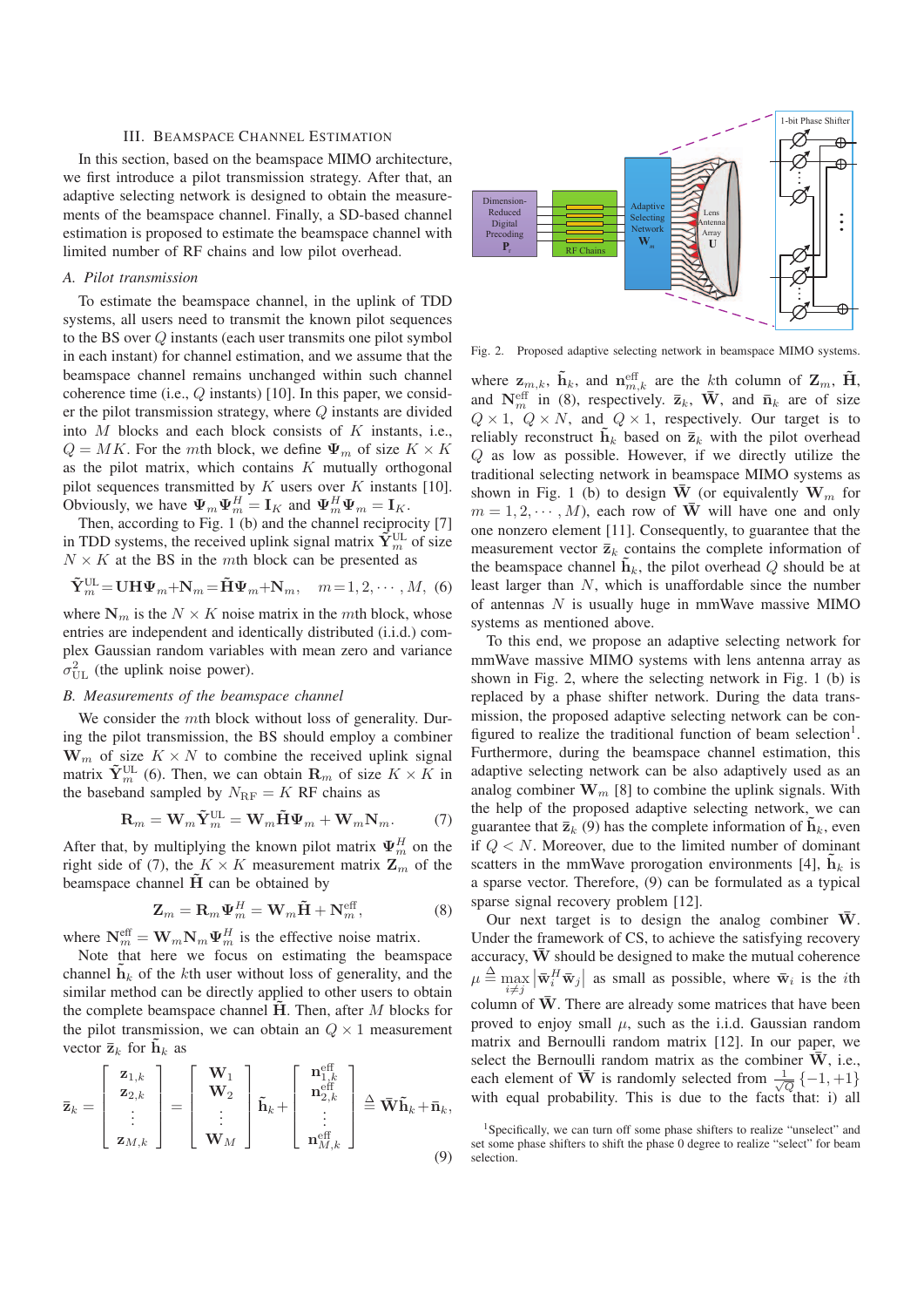# III. BEAMSPACE CHANNEL ESTIMATION

In this section, based on the beamspace MIMO architecture, we first introduce a pilot transmission strategy. After that, an adaptive selecting network is designed to obtain the measurements of the beamspace channel. Finally, a SD-based channel estimation is proposed to estimate the beamspace channel with limited number of RF chains and low pilot overhead.

# *A. Pilot transmission*

To estimate the beamspace channel, in the uplink of TDD systems, all users need to transmit the known pilot sequences to the BS over Q instants (each user transmits one pilot symbol in each instant) for channel estimation, and we assume that the beamspace channel remains unchanged within such channel coherence time (i.e., Q instants) [10]. In this paper, we consider the pilot transmission strategy, where Q instants are divided into  $M$  blocks and each block consists of  $K$  instants, i.e.,  $Q = MK$ . For the mth block, we define  $\Psi_m$  of size  $K \times K$ as the pilot matrix, which contains  $K$  mutually orthogonal pilot sequences transmitted by  $K$  users over  $K$  instants [10]. Obviously, we have  $\Psi_m \Psi_m^H = I_K$  and  $\Psi_m^H \Psi_m = I_K$ .

Then, according to Fig. 1 (b) and the channel reciprocity [7] in TDD systems, the received uplink signal matrix  $\tilde{\mathbf{Y}}_m^{\text{UL}}$  of size  $N \times K$  at the BS in the mth block can be presented as

$$
\tilde{\mathbf{Y}}_m^{\text{UL}} = \mathbf{U} \mathbf{H} \boldsymbol{\Psi}_m + \mathbf{N}_m = \tilde{\mathbf{H}} \boldsymbol{\Psi}_m + \mathbf{N}_m, \quad m = 1, 2, \cdots, M, \tag{6}
$$

where  $N_m$  is the  $N \times K$  noise matrix in the mth block, whose entries are independent and identically distributed (i.i.d.) complex Gaussian random variables with mean zero and variance  $\sigma_{\text{UL}}^2$  (the uplink noise power).

#### *B. Measurements of the beamspace channel*

We consider the mth block without loss of generality. During the pilot transmission, the BS should employ a combiner  $\mathbf{W}_m$  of size  $K \times N$  to combine the received uplink signal matrix  $\tilde{\mathbf{Y}}_m^{\text{UL}}$  (6). Then, we can obtain  $\mathbf{R}_m$  of size  $K \times K$  in the baseband sampled by  $N_{\text{RF}} = K$  RF chains as

$$
\mathbf{R}_{m} = \mathbf{W}_{m} \tilde{\mathbf{Y}}_{m}^{\text{UL}} = \mathbf{W}_{m} \tilde{\mathbf{H}} \mathbf{\Psi}_{m} + \mathbf{W}_{m} \mathbf{N}_{m}. \tag{7}
$$

After that, by multiplying the known pilot matrix  $\Psi_m^H$  on the right side of (7), the  $K \times K$  measurement matrix  $\mathbf{Z}_m$  of the beamspace channel **H** can be obtained by

$$
\mathbf{Z}_m = \mathbf{R}_m \Psi_m^H = \mathbf{W}_m \tilde{\mathbf{H}} + \mathbf{N}_m^{\text{eff}},\tag{8}
$$

where  $N_m^{\text{eff}} = W_m N_m \Psi_m^H$  is the effective noise matrix.

Note that here we focus on estimating the beamspace channel  $h_k$  of the kth user without loss of generality, and the similar method can be directly applied to other users to obtain the complete beamspace channel **H**. Then, after M blocks for the pilot transmission, we can obtain an  $Q \times 1$  measurement vector  $\bar{\mathbf{z}}_k$  for  $\mathbf{h}_k$  as

$$
\bar{\mathbf{z}}_k = \begin{bmatrix} \mathbf{z}_{1,k} \\ \mathbf{z}_{2,k} \\ \vdots \\ \mathbf{z}_{M,k} \end{bmatrix} = \begin{bmatrix} \mathbf{W}_1 \\ \mathbf{W}_2 \\ \vdots \\ \mathbf{W}_M \end{bmatrix} \tilde{\mathbf{h}}_k + \begin{bmatrix} \mathbf{n}_{1,k}^{\text{eff}} \\ \mathbf{n}_{2,k}^{\text{eff}} \\ \vdots \\ \mathbf{n}_{M,k}^{\text{eff}} \end{bmatrix} \triangleq \bar{\mathbf{W}} \tilde{\mathbf{h}}_k + \bar{\mathbf{n}}_k,
$$
\n(9)



Fig. 2. Proposed adaptive selecting network in beamspace MIMO systems.

where  $z_{m,k}$ ,  $\tilde{\mathbf{h}}_k$ , and  $\mathbf{n}_{m,k}^{\text{eff}}$  are the kth column of  $\mathbf{Z}_m$ ,  $\tilde{\mathbf{H}}$ , and  $N_m^{\text{eff}}$  in (8), respectively.  $\bar{\mathbf{z}}_k$ ,  $\bar{\mathbf{W}}$ , and  $\bar{\mathbf{n}}_k$  are of size  $Q \times 1$ ,  $Q \times N$ , and  $Q \times 1$ , respectively. Our target is to reliably reconstruct  $\tilde{\mathbf{h}}_k$  based on  $\bar{\mathbf{z}}_k$  with the pilot overhead Q as low as possible. However, if we directly utilize the traditional selecting network in beamspace MIMO systems as shown in Fig. 1 (b) to design  $\overline{\mathbf{W}}$  (or equivalently  $\mathbf{W}_m$  for  $m = 1, 2, \dots, M$ , each row of  $\overline{W}$  will have one and only one nonzero element [11]. Consequently, to guarantee that the measurement vector  $\overline{\mathbf{z}}_k$  contains the complete information of the beamspace channel  $\tilde{\mathbf{h}}_k$ , the pilot overhead  $Q$  should be at least larger than N, which is unaffordable since the number of antennas  $N$  is usually huge in mmWave massive MIMO systems as mentioned above.

To this end, we propose an adaptive selecting network for mmWave massive MIMO systems with lens antenna array as shown in Fig. 2, where the selecting network in Fig. 1 (b) is replaced by a phase shifter network. During the data transmission, the proposed adaptive selecting network can be configured to realize the traditional function of beam selection<sup>1</sup>. Furthermore, during the beamspace channel estimation, this adaptive selecting network can be also adaptively used as an analog combiner  $\mathbf{W}_m$  [8] to combine the uplink signals. With the help of the proposed adaptive selecting network, we can guarantee that  $\bar{z}_k$  (9) has the complete information of  $\mathbf{h}_k$ , even if  $Q \lt N$ . Moreover, due to the limited number of dominant scatters in the mmWave prorogation environments [4],  $\mathbf{h}_k$  is a sparse vector. Therefore, (9) can be formulated as a typical sparse signal recovery problem [12].

Our next target is to design the analog combiner  $\overline{W}$ . Under the framework of CS, to achieve the satisfying recovery accuracy,  $\bar{W}$  should be designed to make the mutual coherence  $\mu \triangleq \max_{i \neq j}$  $\left| \bar{\mathbf{w}}_i^H \bar{\mathbf{w}}_j \right|$  as small as possible, where  $\bar{\mathbf{w}}_i$  is the *i*th column of  $\bar{W}$ . There are already some matrices that have been proved to enjoy small  $\mu$ , such as the i.i.d. Gaussian random matrix and Bernoulli random matrix [12]. In our paper, we select the Bernoulli random matrix as the combiner  $\bar{W}$ , i.e., each element of  $\overline{W}$  is randomly selected from  $\frac{1}{\sqrt{Q}}\{-1,+1\}$ with equal probability. This is due to the facts that: i) all

<sup>&</sup>lt;sup>1</sup>Specifically, we can turn off some phase shifters to realize "unselect" and set some phase shifters to shift the phase 0 degree to realize "select" for beam selection.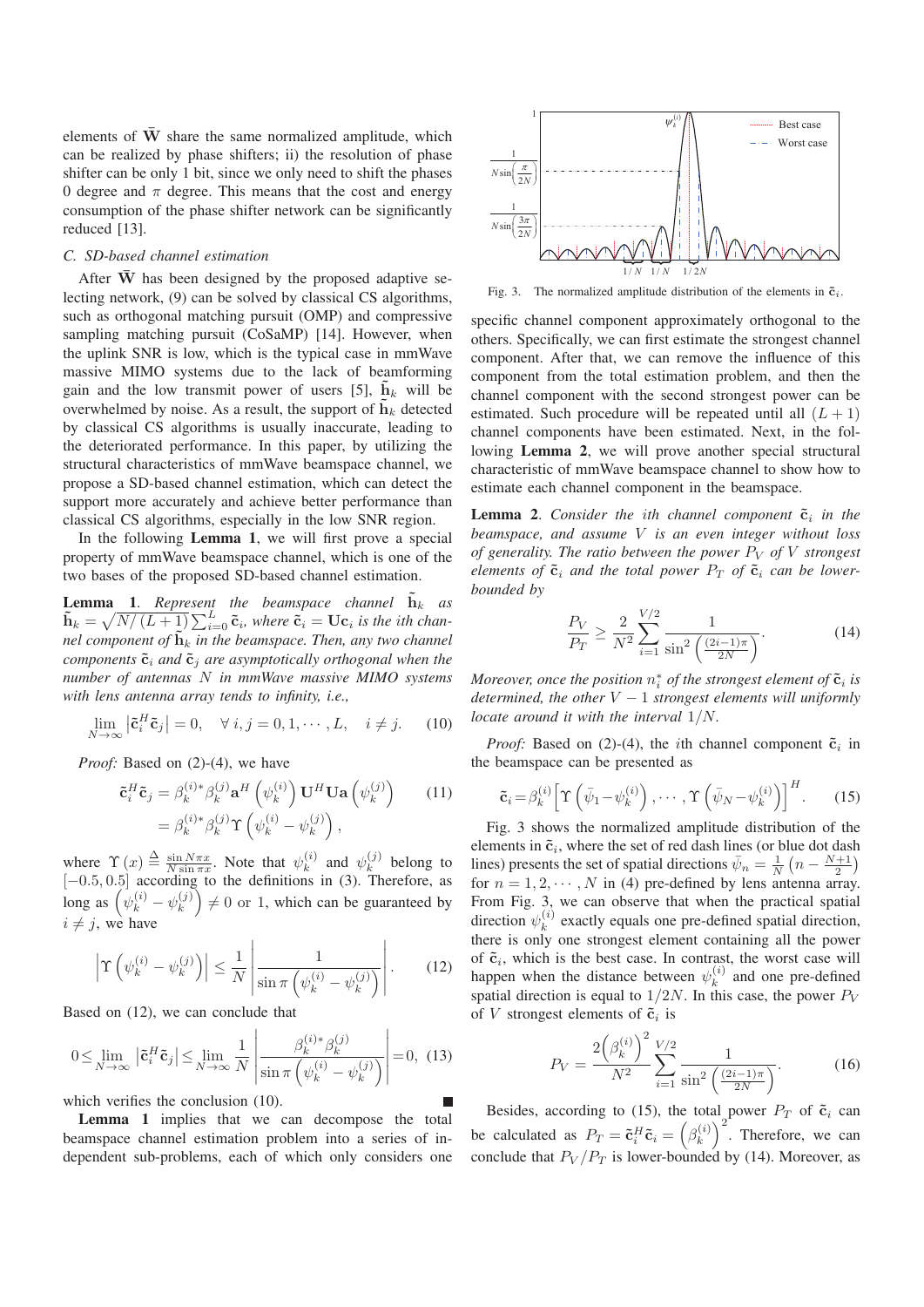elements of  $\overline{W}$  share the same normalized amplitude, which can be realized by phase shifters; ii) the resolution of phase shifter can be only 1 bit, since we only need to shift the phases 0 degree and  $\pi$  degree. This means that the cost and energy consumption of the phase shifter network can be significantly reduced [13].

## *C. SD-based channel estimation*

After  $\bar{W}$  has been designed by the proposed adaptive selecting network, (9) can be solved by classical CS algorithms, such as orthogonal matching pursuit (OMP) and compressive sampling matching pursuit (CoSaMP) [14]. However, when the uplink SNR is low, which is the typical case in mmWave massive MIMO systems due to the lack of beamforming gain and the low transmit power of users [5],  $\mathbf{h}_k$  will be overwhelmed by noise. As a result, the support of  $\mathbf{h}_k$  detected by classical CS algorithms is usually inaccurate, leading to the deteriorated performance. In this paper, by utilizing the structural characteristics of mmWave beamspace channel, we propose a SD-based channel estimation, which can detect the support more accurately and achieve better performance than classical CS algorithms, especially in the low SNR region.

In the following **Lemma 1**, we will first prove a special property of mmWave beamspace channel, which is one of the two bases of the proposed SD-based channel estimation.

**Lemma 1.** Represent the beamspace channel  $\tilde{\mathbf{h}}_k$  as  $\tilde{\mathbf{h}}_k = \sqrt{N/(L+1)} \sum_{i=0}^L \tilde{\mathbf{c}}_i$ , where  $\tilde{\mathbf{c}}_i = \mathbf{U} \mathbf{c}_i$  is the ith chan*nel component of*  $\tilde{\mathbf{h}}_k$  *in the beamspace. Then, any two channel components*  $\tilde{\mathbf{c}}_i$  *and*  $\tilde{\mathbf{c}}_j$  *are asymptotically orthogonal when the number of antennas* N *in mmWave massive MIMO systems with lens antenna array tends to infinity, i.e.,*

$$
\lim_{N \to \infty} \left| \tilde{\mathbf{c}}_i^H \tilde{\mathbf{c}}_j \right| = 0, \quad \forall \ i, j = 0, 1, \cdots, L, \quad i \neq j. \tag{10}
$$

*Proof:* Based on (2)-(4), we have

$$
\tilde{\mathbf{c}}_i^H \tilde{\mathbf{c}}_j = \beta_k^{(i)*} \beta_k^{(j)} \mathbf{a}^H \left( \psi_k^{(i)} \right) \mathbf{U}^H \mathbf{U} \mathbf{a} \left( \psi_k^{(j)} \right) \qquad (11)
$$

$$
= \beta_k^{(i)*} \beta_k^{(j)} \Upsilon \left( \psi_k^{(i)} - \psi_k^{(j)} \right),
$$

where  $\Upsilon(x) \triangleq \frac{\sin N \pi x}{N \sin \pi x}$ . Note that  $\psi_k^{(i)}$  and  $\psi_k^{(j)}$  belong to  $[-0.5, 0.5]$  according to the definitions in (3). Therefore, as long as  $(\psi_k^{(i)} - \psi_k^{(j)}) \neq 0$  or 1, which can be guaranteed by  $i \neq j$ , we have

$$
\left| \Upsilon \left( \psi_k^{(i)} - \psi_k^{(j)} \right) \right| \le \frac{1}{N} \left| \frac{1}{\sin \pi \left( \psi_k^{(i)} - \psi_k^{(j)} \right)} \right|.
$$
 (12)

Based on (12), we can conclude that

$$
0 \le \lim_{N \to \infty} \left| \tilde{\mathbf{c}}_i^H \tilde{\mathbf{c}}_j \right| \le \lim_{N \to \infty} \frac{1}{N} \left| \frac{\beta_k^{(i)*} \beta_k^{(j)}}{\sin \pi \left( \psi_k^{(i)} - \psi_k^{(j)} \right)} \right| = 0, \tag{13}
$$

which verifies the conclusion (10).

Lemma 1 implies that we can decompose the total beamspace channel estimation problem into a series of independent sub-problems, each of which only considers one



Fig. 3. The normalized amplitude distribution of the elements in  $\tilde{\mathbf{c}}_i$ .

specific channel component approximately orthogonal to the others. Specifically, we can first estimate the strongest channel component. After that, we can remove the influence of this component from the total estimation problem, and then the channel component with the second strongest power can be estimated. Such procedure will be repeated until all  $(L + 1)$ channel components have been estimated. Next, in the following Lemma 2, we will prove another special structural characteristic of mmWave beamspace channel to show how to estimate each channel component in the beamspace.

**Lemma 2.** Consider the ith channel component  $\tilde{\mathbf{c}}_i$  in the *beamspace, and assume* V *is an even integer without loss of generality. The ratio between the power*  $P_V$  *of*  $V$  *strongest elements of*  $\tilde{\mathbf{c}}_i$  *and the total power P<sub>T</sub> of*  $\tilde{\mathbf{c}}_i$  *can be lowerbounded by*

$$
\frac{P_V}{P_T} \ge \frac{2}{N^2} \sum_{i=1}^{V/2} \frac{1}{\sin^2\left(\frac{(2i-1)\pi}{2N}\right)}.\tag{14}
$$

*Moreover, once the position*  $n_i^*$  *of the strongest element of*  $\tilde{\mathbf{c}}_i$  *is determined, the other* <sup>V</sup> <sup>−</sup> <sup>1</sup> *strongest elements will uniformly locate around it with the interval* 1/N*.*

*Proof:* Based on (2)-(4), the *i*th channel component  $\tilde{c}_i$  in the beamspace can be presented as

$$
\tilde{\mathbf{c}}_i = \beta_k^{(i)} \left[ \Upsilon \left( \bar{\psi}_1 - \psi_k^{(i)} \right), \cdots, \Upsilon \left( \bar{\psi}_N - \psi_k^{(i)} \right) \right]^H. \tag{15}
$$

Fig. 3 shows the normalized amplitude distribution of the elements in  $\tilde{\mathbf{c}}_i$ , where the set of red dash lines (or blue dot dash lines) presents the set of spatial directions  $\bar{\psi}_n = \frac{1}{N} \left( n - \frac{N+1}{2} \right)$ for  $n = 1, 2, \dots, N$  in (4) pre-defined by lens antenna array. From Fig. 3, we can observe that when the practical spatial direction  $\psi_k^{(i)}$  exactly equals one pre-defined spatial direction, there is only one strongest element containing all the power of  $\tilde{\mathbf{c}}_i$ , which is the best case. In contrast, the worst case will happen when the distance between  $\psi_k^{(i)}$  and one pre-defined spatial direction is equal to  $1/2N$ . In this case, the power  $P_V$ of V strongest elements of  $\tilde{\mathbf{c}}_i$  is

$$
P_V = \frac{2\left(\beta_k^{(i)}\right)^2}{N^2} \sum_{i=1}^{V/2} \frac{1}{\sin^2\left(\frac{(2i-1)\pi}{2N}\right)}.\tag{16}
$$

Besides, according to (15), the total power  $P_T$  of  $\tilde{c}_i$  can be calculated as  $P_T = \tilde{c}_i^H \tilde{c}_i = \left(\beta_k^{(i)}\right)^2$ . Therefore, we can conclude that  $P_V/P_T$  is lower-bounded by (14). Moreover, as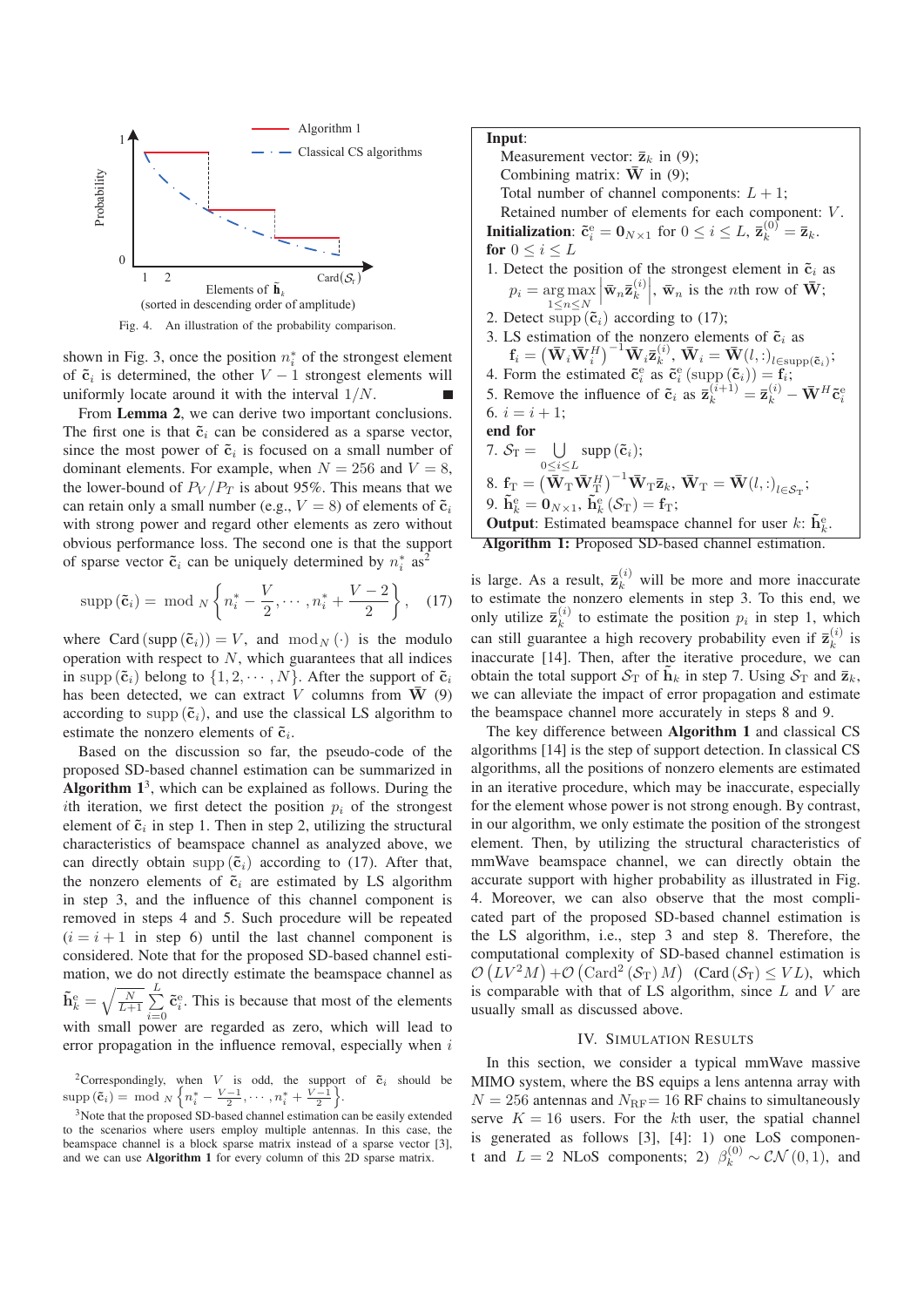

shown in Fig. 3, once the position  $n_i^*$  of the strongest element of  $\tilde{\mathbf{c}}_i$  is determined, the other  $V - 1$  strongest elements will uniformly locate around it with the interval  $1/N$ .

From Lemma 2, we can derive two important conclusions. The first one is that  $\tilde{\mathbf{c}}_i$  can be considered as a sparse vector, since the most power of  $\tilde{\mathbf{c}}_i$  is focused on a small number of dominant elements. For example, when  $N = 256$  and  $V = 8$ , the lower-bound of  $P_V/P_T$  is about 95%. This means that we can retain only a small number (e.g.,  $V = 8$ ) of elements of  $\tilde{c}_i$ with strong power and regard other elements as zero without obvious performance loss. The second one is that the support of sparse vector  $\tilde{c}_i$  can be uniquely determined by  $n_i^*$  as<sup>2</sup>

$$
\operatorname{supp}\left(\tilde{\mathbf{c}}_{i}\right)=\ \operatorname{mod}\ {}_{N}\left\{n_{i}^{*}-\frac{V}{2},\cdots,n_{i}^{*}+\frac{V-2}{2}\right\},\quad\left(17\right)
$$

where Card  $(\text{supp }(\tilde{c}_i)) = V$ , and  $\text{mod}_N(\cdot)$  is the modulo operation with respect to  $N$ , which guarantees that all indices in supp  $(\tilde{\mathbf{c}}_i)$  belong to  $\{1, 2, \cdots, N\}$ . After the support of  $\tilde{\mathbf{c}}_i$ has been detected, we can extract V columns from  $\overline{W}$  (9) according to supp  $(\tilde{c}_i)$ , and use the classical LS algorithm to estimate the nonzero elements of  $\tilde{\mathbf{c}}_i$ .

Based on the discussion so far, the pseudo-code of the proposed SD-based channel estimation can be summarized in Algorithm  $1<sup>3</sup>$ , which can be explained as follows. During the ith iteration, we first detect the position  $p_i$  of the strongest element of  $\tilde{\mathbf{c}}_i$  in step 1. Then in step 2, utilizing the structural characteristics of beamspace channel as analyzed above, we can directly obtain supp  $(\tilde{c}_i)$  according to (17). After that, the nonzero elements of  $\tilde{\mathbf{c}}_i$  are estimated by LS algorithm in step 3, and the influence of this channel component is removed in steps 4 and 5. Such procedure will be repeated  $(i = i + 1$  in step 6) until the last channel component is considered. Note that for the proposed SD-based channel estimation, we do not directly estimate the beamspace channel as  $\tilde{\mathbf{h}}_k^{\text{e}} = \sqrt{\frac{N}{L+1}} \sum_{i=1}^L$ L  $\sum_{i=0}$  $\tilde{\mathbf{c}}_i^e$ . This is because that most of the elements with small power are regarded as zero, which will lead to error propagation in the influence removal, especially when  $i$ 

<sup>2</sup>Correspondingly, when V is odd, the support of  $\tilde{\mathbf{c}}_i$  should be  $\text{supp}(\tilde{\mathbf{c}}_i) = \text{ mod } N \left\{ n_i^* - \frac{V-1}{2}, \cdots, n_i^* + \frac{V-1}{2} \right\}.$ 

## Input:

Measurement vector:  $\overline{\mathbf{z}}_k$  in (9); Combining matrix:  $\overline{W}$  in (9); Total number of channel components:  $L + 1$ ; Retained number of elements for each component: V. **Initialization:**  $\tilde{\mathbf{c}}_i^{\text{e}} = \mathbf{0}_{N \times 1}$  for  $0 \le i \le L$ ,  $\bar{\mathbf{z}}_k^{(0)} = \bar{\mathbf{z}}_k$ . for  $0 \leq i \leq L$ 1. Detect the position of the strongest element in  $\tilde{\mathbf{c}}_i$  as  $p_i = \arg \max_{1 \leq n \leq N} \left| \bar{\mathbf{w}}_n \bar{\mathbf{z}}_k^{(i)} \right|, \bar{\mathbf{w}}_n$  is the *n*th row of  $\bar{\mathbf{W}}$ ;  $1\leq n\leq N$ 2. Detect supp  $(\tilde{\mathbf{c}}_i)$  according to (17); 3. LS estimation of the nonzero elements of  $\tilde{\mathbf{c}}_i$  as  $\mathbf{f}_i = (\mathbf{W}_i \mathbf{W}_i^H)^{-1} \mathbf{W}_i \mathbf{z}_k^{(i)}$ ,  $\mathbf{W}_i = \mathbf{W}(l,:)_{l \in \text{supp}(\tilde{\mathbf{c}}_i)}$ ;<br>
4. Form the estimated  $\tilde{\mathbf{c}}_i^e$  as  $\tilde{\mathbf{c}}_i^e$  (supp  $(\tilde{\mathbf{c}}_i) = \mathbf{f}_i$ ; 5. Remove the influence of  $\tilde{\mathbf{c}}_i$  as  $\overline{\mathbf{z}}_k^{(i+1)} = \overline{\mathbf{z}}_k^{(i)} - \overline{\mathbf{W}}^H \tilde{\mathbf{c}}_i^e$ 6.  $i = i + 1$ ; end for 7.  $S_{\text{T}} = \bigcup_{0 \leq i \leq L}$  $supp(\tilde{c}_i);$  $\mathbf{8}. \; \mathbf{f}_\mathrm{T} = \left( \mathbf{\bar{W}}_\mathrm{T} \mathbf{\bar{W}}_\mathrm{T}^H \right)^{-1} \mathbf{\bar{W}}_\mathrm{T} \mathbf{\bar{z}}_k, \, \mathbf{\bar{W}}_\mathrm{T} = \mathbf{\bar{W}}(l,:)_{l \in \mathcal{S}_\mathrm{T}};$ 9.  $\tilde{\mathbf{h}}_k^{\text{e}} = \mathbf{0}_{N \times 1}$ ,  $\tilde{\mathbf{h}}_k^{\text{e}}(\mathcal{S}_{\text{T}}) = \mathbf{f}_{\text{T}}$ ; **Output:** Estimated beamspace channel for user  $k$ :  $\tilde{\mathbf{h}}_k^e$ . Algorithm 1: Proposed SD-based channel estimation.

is large. As a result,  $\bar{\mathbf{z}}_k^{(i)}$  will be more and more inaccurate to estimate the nonzero elements in step 3. To this end, we only utilize  $\bar{\mathbf{z}}_k^{(i)}$  to estimate the position  $p_i$  in step 1, which can still guarantee a high recovery probability even if  $\bar{z}_k^{(i)}$  is inaccurate [14]. Then, after the iterative procedure, we can obtain the total support  $S_T$  of  $\tilde{\mathbf{h}}_k$  in step 7. Using  $S_T$  and  $\bar{\mathbf{z}}_k$ , we can alleviate the impact of error propagation and estimate the beamspace channel more accurately in steps 8 and 9.

The key difference between Algorithm 1 and classical CS algorithms [14] is the step of support detection. In classical CS algorithms, all the positions of nonzero elements are estimated in an iterative procedure, which may be inaccurate, especially for the element whose power is not strong enough. By contrast, in our algorithm, we only estimate the position of the strongest element. Then, by utilizing the structural characteristics of mmWave beamspace channel, we can directly obtain the accurate support with higher probability as illustrated in Fig. 4. Moreover, we can also observe that the most complicated part of the proposed SD-based channel estimation is the LS algorithm, i.e., step 3 and step 8. Therefore, the computational complexity of SD-based channel estimation is  $\mathcal{O}(LV^2M) + \mathcal{O}(\text{Card}^2(\mathcal{S}_T)M)$  (Card  $(\mathcal{S}_T) \leq VL$ ), which is comparable with that of LS algorithm, since  $L$  and  $V$  are usually small as discussed above.

#### IV. SIMULATION RESULTS

In this section, we consider a typical mmWave massive MIMO system, where the BS equips a lens antenna array with  $N = 256$  antennas and  $N_{\text{RF}} = 16 \text{ RF}$  chains to simultaneously serve  $K = 16$  users. For the kth user, the spatial channel is generated as follows [3], [4]: 1) one LoS component and  $L = 2$  NLoS components; 2)  $\beta_k^{(0)} \sim \mathcal{CN}(0, 1)$ , and

<sup>&</sup>lt;sup>3</sup>Note that the proposed SD-based channel estimation can be easily extended to the scenarios where users employ multiple antennas. In this case, the beamspace channel is a block sparse matrix instead of a sparse vector [3], and we can use Algorithm 1 for every column of this 2D sparse matrix.